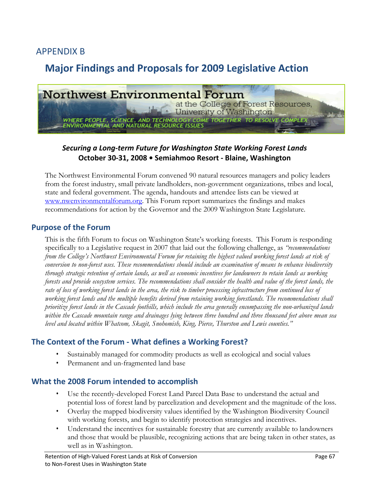# APPENDIX B

# **Major Findings and Proposals for 2009 Legislative Action**



### *Securing a Long‐term Future for Washington State Working Forest Lands*  **October 30‐31, 2008 • Semiahmoo Resort ‐ Blaine, Washington**

The Northwest Environmental Forum convened 90 natural resources managers and policy leaders from the forest industry, small private landholders, non-government organizations, tribes and local, state and federal government. The agenda, handouts and attendee lists can be viewed at www.nwenvironmentalforum.org. This Forum report summarizes the findings and makes recommendations for action by the Governor and the 2009 Washington State Legislature.

#### **Purpose of the Forum**

This is the fifth Forum to focus on Washington State's working forests. This Forum is responding specifically to a Legislative request in 2007 that laid out the following challenge, as *"recommendations from the College's Northwest Environmental Forum for retaining the highest valued working forest lands at risk of conversion to non-forest uses. These recommendations should include an examination of means to enhance biodiversity through strategic retention of certain lands, as well as economic incentives for landowners to retain lands as working forests and provide ecosystem services. The recommendations shall consider the health and value of the forest lands, the rate of loss of working forest lands in the area, the risk to timber processing infrastructure from continued loss of working forest lands and the multiple benefits derived from retaining working forestlands. The recommendations shall prioritize forest lands in the Cascade foothills, which include the area generally encompassing the non-urbanized lands within the Cascade mountain range and drainages lying between three hundred and three thousand feet above mean sea level and located within Whatcom, Skagit, Snohomish, King, Pierce, Thurston and Lewis counties."* 

### **The Context of the Forum ‐ What defines a Working Forest?**

- Sustainably managed for commodity products as well as ecological and social values
- Permanent and un-fragmented land base

#### **What the 2008 Forum intended to accomplish**

- Use the recently-developed Forest Land Parcel Data Base to understand the actual and potential loss of forest land by parcelization and development and the magnitude of the loss.
- Overlay the mapped biodiversity values identified by the Washington Biodiversity Council with working forests, and begin to identify protection strategies and incentives.
- Understand the incentives for sustainable forestry that are currently available to landowners and those that would be plausible, recognizing actions that are being taken in other states, as well as in Washington.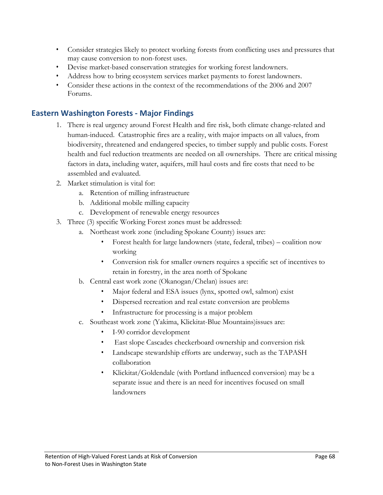- Consider strategies likely to protect working forests from conflicting uses and pressures that may cause conversion to non-forest uses.
- Devise market-based conservation strategies for working forest landowners.
- Address how to bring ecosystem services market payments to forest landowners.
- Consider these actions in the context of the recommendations of the 2006 and 2007 Forums.

### **Eastern Washington Forests ‐ Major Findings**

- 1. There is real urgency around Forest Health and fire risk, both climate change-related and human-induced. Catastrophic fires are a reality, with major impacts on all values, from biodiversity, threatened and endangered species, to timber supply and public costs. Forest health and fuel reduction treatments are needed on all ownerships. There are critical missing factors in data, including water, aquifers, mill haul costs and fire costs that need to be assembled and evaluated.
- 2. Market stimulation is vital for:
	- a. Retention of milling infrastructure
	- b. Additional mobile milling capacity
	- c. Development of renewable energy resources
- 3. Three (3) specific Working Forest zones must be addressed:
	- a. Northeast work zone (including Spokane County) issues are:
		- Forest health for large landowners (state, federal, tribes) coalition now working
		- Conversion risk for smaller owners requires a specific set of incentives to retain in forestry, in the area north of Spokane
	- b. Central east work zone (Okanogan/Chelan) issues are:
		- Major federal and ESA issues (lynx, spotted owl, salmon) exist
		- Dispersed recreation and real estate conversion are problems
		- Infrastructure for processing is a major problem
	- c. Southeast work zone (Yakima, Klickitat-Blue Mountains)issues are:
		- I-90 corridor development
		- East slope Cascades checkerboard ownership and conversion risk
		- Landscape stewardship efforts are underway, such as the TAPASH collaboration
		- Klickitat/Goldendale (with Portland influenced conversion) may be a separate issue and there is an need for incentives focused on small landowners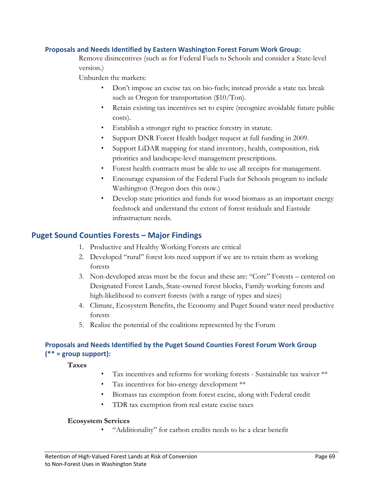#### **Proposals and Needs Identified by Eastern Washington Forest Forum Work Group:**

Remove disincentives (such as for Federal Fuels to Schools and consider a State-level version.)

Unburden the markets:

- Don't impose an excise tax on bio-fuels; instead provide a state tax break such as Oregon for transportation (\$10/Ton).
- Retain existing tax incentives set to expire (recognize avoidable future public costs).
- Establish a stronger right to practice forestry in statute.
- Support DNR Forest Health budget request at full funding in 2009.
- Support LiDAR mapping for stand inventory, health, composition, risk priorities and landscape-level management prescriptions.
- Forest health contracts must be able to use all receipts for management.
- Encourage expansion of the Federal Fuels for Schools program to include Washington (Oregon does this now.)
- Develop state priorities and funds for wood biomass as an important energy feedstock and understand the extent of forest residuals and Eastside infrastructure needs.

#### **Puget Sound Counties Forests – Major Findings**

- 1. Productive and Healthy Working Forests are critical
- 2. Developed "rural" forest lots need support if we are to retain them as working forests
- 3. Non-developed areas must be the focus and these are: "Core" Forests centered on Designated Forest Lands, State-owned forest blocks, Family working forests and high-likelihood to convert forests (with a range of types and sizes)
- 4. Climate, Ecosystem Benefits, the Economy and Puget Sound water need productive forests
- 5. Realize the potential of the coalitions represented by the Forum

#### **Proposals and Needs Identified by the Puget Sound Counties Forest Forum Work Group (\*\* = group support):**

 **Taxes** 

- Tax incentives and reforms for working forests Sustainable tax waiver \*\*
- Tax incentives for bio-energy development \*\*
- Biomass tax exemption from forest excise, along with Federal credit
- TDR tax exemption from real estate excise taxes

#### **Ecosystem Services**

• "Additionality" for carbon credits needs to be a clear benefit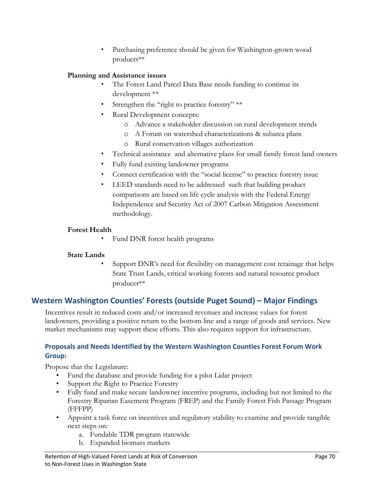• Purchasing preference should be given for Washington-grown wood products\*\*

### **Planning and Assistance issues**

- The Forest Land Parcel Data Base needs funding to continue its development \*\*
- Strengthen the "right to practice forestry" \*\*
- Rural Development concepts:
	- o Advance a stakeholder discussion on rural development trends
	- o A Forum on watershed characterizations & subarea plans
	- o Rural conservation villages authorization
- Technical assistance and alternative plans for small family forest land owners
- Fully fund existing landowner programs
- Connect certification with the "social license" to practice forestry issue
- LEED standards need to be addressed such that building product comparisons are based on life cycle analysis with the Federal Energy Independence and Security Act of 2007 Carbon Mitigation Assessment methodology.

#### **Forest Health**

• Fund DNR forest health programs

#### **State Lands**

Support DNR's need for flexibility on management cost retainage that helps State Trust Lands, critical working forests and natural resource product producer\*\*

# **Western Washington Counties' Forests (outside Puget Sound) – Major Findings**

Incentives result in reduced costs and/or increased revenues and increase values for forest landowners, providing a positive return to the bottom line and a range of goods and services. New market mechanisms may support these efforts. This also requires support for infrastructure.

#### **Proposals and Needs Identified by the Western Washington Counties Forest Forum Work Group:**

Propose that the Legislature:

- Fund the database and provide funding for a pilot Lidar project
- Support the Right to Practice Forestry
- Fully fund and make secure landowner incentive programs, including but not limited to the Forestry Riparian Easement Program (FREP) and the Family Forest Fish Passage Program (FFFPP)
- Appoint a task force on incentives and regulatory stability to examine and provide tangible next steps on:
	- a. Fundable TDR program statewide
	- b. Expanded biomass markets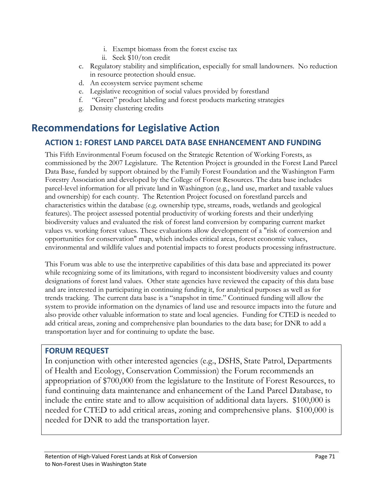- i. Exempt biomass from the forest excise tax
- ii. Seek \$10/ton credit
- c. Regulatory stability and simplification, especially for small landowners. No reduction in resource protection should ensue.
- d. An ecosystem service payment scheme
- e. Legislative recognition of social values provided by forestland
- f. "Green" product labeling and forest products marketing strategies
- g. Density clustering credits

# **Recommendations for Legislative Action**

# **ACTION 1: FOREST LAND PARCEL DATA BASE ENHANCEMENT AND FUNDING**

This Fifth Environmental Forum focused on the Strategic Retention of Working Forests, as commissioned by the 2007 Legislature. The Retention Project is grounded in the Forest Land Parcel Data Base, funded by support obtained by the Family Forest Foundation and the Washington Farm Forestry Association and developed by the College of Forest Resources. The data base includes parcel-level information for all private land in Washington (e.g., land use, market and taxable values and ownership) for each county. The Retention Project focused on forestland parcels and characteristics within the database (e.g. ownership type, streams, roads, wetlands and geological features). The project assessed potential productivity of working forests and their underlying biodiversity values and evaluated the risk of forest land conversion by comparing current market values vs. working forest values. These evaluations allow development of a "risk of conversion and opportunities for conservation" map, which includes critical areas, forest economic values, environmental and wildlife values and potential impacts to forest products processing infrastructure.

This Forum was able to use the interpretive capabilities of this data base and appreciated its power while recognizing some of its limitations, with regard to inconsistent biodiversity values and county designations of forest land values. Other state agencies have reviewed the capacity of this data base and are interested in participating in continuing funding it, for analytical purposes as well as for trends tracking. The current data base is a "snapshot in time." Continued funding will allow the system to provide information on the dynamics of land use and resource impacts into the future and also provide other valuable information to state and local agencies. Funding for CTED is needed to add critical areas, zoning and comprehensive plan boundaries to the data base; for DNR to add a transportation layer and for continuing to update the base.

### **FORUM REQUEST**

In conjunction with other interested agencies (e.g., DSHS, State Patrol, Departments of Health and Ecology, Conservation Commission) the Forum recommends an appropriation of \$700,000 from the legislature to the Institute of Forest Resources, to fund continuing data maintenance and enhancement of the Land Parcel Database, to include the entire state and to allow acquisition of additional data layers. \$100,000 is needed for CTED to add critical areas, zoning and comprehensive plans. \$100,000 is needed for DNR to add the transportation layer.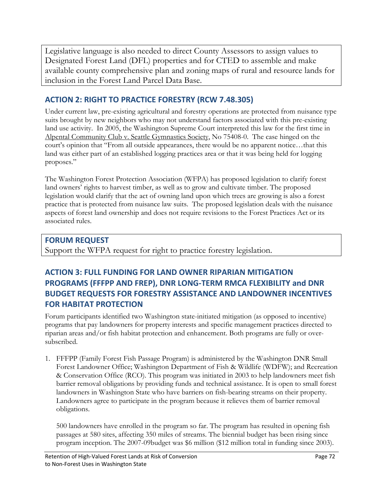Legislative language is also needed to direct County Assessors to assign values to Designated Forest Land (DFL) properties and for CTED to assemble and make available county comprehensive plan and zoning maps of rural and resource lands for inclusion in the Forest Land Parcel Data Base.

# **ACTION 2: RIGHT TO PRACTICE FORESTRY (RCW 7.48.305)**

Under current law, pre-existing agricultural and forestry operations are protected from nuisance type suits brought by new neighbors who may not understand factors associated with this pre-existing land use activity. In 2005, the Washington Supreme Court interpreted this law for the first time in Alpental Community Club v. Seattle Gymnastics Society, No 75408-0. The case hinged on the court's opinion that "From all outside appearances, there would be no apparent notice…that this land was either part of an established logging practices area or that it was being held for logging proposes."

The Washington Forest Protection Association (WFPA) has proposed legislation to clarify forest land owners' rights to harvest timber, as well as to grow and cultivate timber. The proposed legislation would clarify that the act of owning land upon which trees are growing is also a forest practice that is protected from nuisance law suits. The proposed legislation deals with the nuisance aspects of forest land ownership and does not require revisions to the Forest Practices Act or its associated rules.

# **FORUM REQUEST**

Support the WFPA request for right to practice forestry legislation.

# **ACTION 3: FULL FUNDING FOR LAND OWNER RIPARIAN MITIGATION PROGRAMS (FFFPP AND FREP), DNR LONG‐TERM RMCA FLEXIBILITY and DNR BUDGET REQUESTS FOR FORESTRY ASSISTANCE AND LANDOWNER INCENTIVES FOR HABITAT PROTECTION**

Forum participants identified two Washington state-initiated mitigation (as opposed to incentive) programs that pay landowners for property interests and specific management practices directed to riparian areas and/or fish habitat protection and enhancement. Both programs are fully or oversubscribed.

1. FFFPP (Family Forest Fish Passage Program) is administered by the Washington DNR Small Forest Landowner Office; Washington Department of Fish & Wildlife (WDFW); and Recreation & Conservation Office (RCO). This program was initiated in 2003 to help landowners meet fish barrier removal obligations by providing funds and technical assistance. It is open to small forest landowners in Washington State who have barriers on fish-bearing streams on their property. Landowners agree to participate in the program because it relieves them of barrier removal obligations.

500 landowners have enrolled in the program so far. The program has resulted in opening fish passages at 580 sites, affecting 350 miles of streams. The biennial budget has been rising since program inception. The 2007-09budget was \$6 million (\$12 million total in funding since 2003).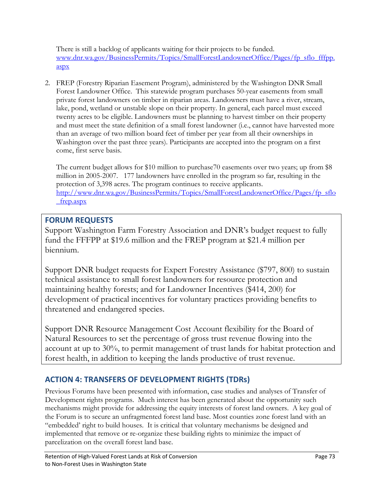There is still a backlog of applicants waiting for their projects to be funded. www.dnr.wa.gov/BusinessPermits/Topics/SmallForestLandownerOffice/Pages/fp\_sflo\_fffpp. aspx

2. FREP (Forestry Riparian Easement Program), administered by the Washington DNR Small Forest Landowner Office. This statewide program purchases 50-year easements from small private forest landowners on timber in riparian areas. Landowners must have a river, stream, lake, pond, wetland or unstable slope on their property. In general, each parcel must exceed twenty acres to be eligible. Landowners must be planning to harvest timber on their property and must meet the state definition of a small forest landowner (i.e., cannot have harvested more than an average of two million board feet of timber per year from all their ownerships in Washington over the past three years). Participants are accepted into the program on a first come, first serve basis.

The current budget allows for \$10 million to purchase70 easements over two years; up from \$8 million in 2005-2007. 177 landowners have enrolled in the program so far, resulting in the protection of 3,398 acres. The program continues to receive applicants. http://www.dnr.wa.gov/BusinessPermits/Topics/SmallForestLandownerOffice/Pages/fp\_sflo \_frep.aspx

# **FORUM REQUESTS**

Support Washington Farm Forestry Association and DNR's budget request to fully fund the FFFPP at \$19.6 million and the FREP program at \$21.4 million per biennium.

Support DNR budget requests for Expert Forestry Assistance (\$797, 800) to sustain technical assistance to small forest landowners for resource protection and maintaining healthy forests; and for Landowner Incentives (\$414, 200) for development of practical incentives for voluntary practices providing benefits to threatened and endangered species.

Support DNR Resource Management Cost Account flexibility for the Board of Natural Resources to set the percentage of gross trust revenue flowing into the account at up to 30%, to permit management of trust lands for habitat protection and forest health, in addition to keeping the lands productive of trust revenue.

# **ACTION 4: TRANSFERS OF DEVELOPMENT RIGHTS (TDRs)**

Previous Forums have been presented with information, case studies and analyses of Transfer of Development rights programs. Much interest has been generated about the opportunity such mechanisms might provide for addressing the equity interests of forest land owners. A key goal of the Forum is to secure an unfragmented forest land base. Most counties zone forest land with an "embedded' right to build houses. It is critical that voluntary mechanisms be designed and implemented that remove or re-organize these building rights to minimize the impact of parcelization on the overall forest land base.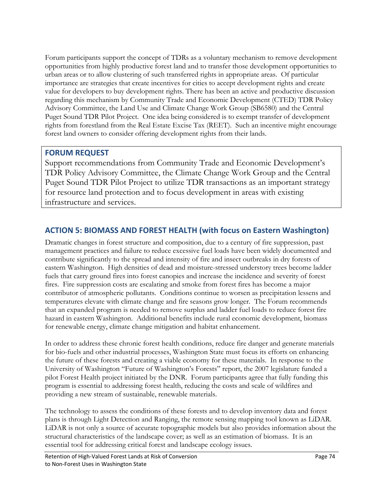Forum participants support the concept of TDRs as a voluntary mechanism to remove development opportunities from highly productive forest land and to transfer those development opportunities to urban areas or to allow clustering of such transferred rights in appropriate areas. Of particular importance are strategies that create incentives for cities to accept development rights and create value for developers to buy development rights. There has been an active and productive discussion regarding this mechanism by Community Trade and Economic Development (CTED) TDR Policy Advisory Committee, the Land Use and Climate Change Work Group (SB6580) and the Central Puget Sound TDR Pilot Project. One idea being considered is to exempt transfer of development rights from forestland from the Real Estate Excise Tax (REET). Such an incentive might encourage forest land owners to consider offering development rights from their lands.

# **FORUM REQUEST**

Support recommendations from Community Trade and Economic Development's TDR Policy Advisory Committee, the Climate Change Work Group and the Central Puget Sound TDR Pilot Project to utilize TDR transactions as an important strategy for resource land protection and to focus development in areas with existing infrastructure and services.

# **ACTION 5: BIOMASS AND FOREST HEALTH (with focus on Eastern Washington)**

Dramatic changes in forest structure and composition, due to a century of fire suppression, past management practices and failure to reduce excessive fuel loads have been widely documented and contribute significantly to the spread and intensity of fire and insect outbreaks in dry forests of eastern Washington. High densities of dead and moisture-stressed understory trees become ladder fuels that carry ground fires into forest canopies and increase the incidence and severity of forest fires. Fire suppression costs are escalating and smoke from forest fires has become a major contributor of atmospheric pollutants. Conditions continue to worsen as precipitation lessens and temperatures elevate with climate change and fire seasons grow longer. The Forum recommends that an expanded program is needed to remove surplus and ladder fuel loads to reduce forest fire hazard in eastern Washington. Additional benefits include rural economic development, biomass for renewable energy, climate change mitigation and habitat enhancement.

In order to address these chronic forest health conditions, reduce fire danger and generate materials for bio-fuels and other industrial processes, Washington State must focus its efforts on enhancing the future of these forests and creating a viable economy for these materials. In response to the University of Washington "Future of Washington's Forests" report, the 2007 legislature funded a pilot Forest Health project initiated by the DNR. Forum participants agree that fully funding this program is essential to addressing forest health, reducing the costs and scale of wildfires and providing a new stream of sustainable, renewable materials.

The technology to assess the conditions of these forests and to develop inventory data and forest plans is through Light Detection and Ranging, the remote sensing mapping tool known as LiDAR. LiDAR is not only a source of accurate topographic models but also provides information about the structural characteristics of the landscape cover; as well as an estimation of biomass. It is an essential tool for addressing critical forest and landscape ecology issues.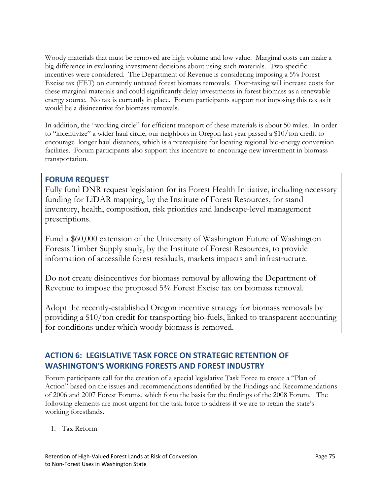Woody materials that must be removed are high volume and low value. Marginal costs can make a big difference in evaluating investment decisions about using such materials. Two specific incentives were considered. The Department of Revenue is considering imposing a 5% Forest Excise tax (FET) on currently untaxed forest biomass removals. Over-taxing will increase costs for these marginal materials and could significantly delay investments in forest biomass as a renewable energy source. No tax is currently in place. Forum participants support not imposing this tax as it would be a disincentive for biomass removals.

In addition, the "working circle" for efficient transport of these materials is about 50 miles. In order to "incentivize" a wider haul circle, our neighbors in Oregon last year passed a \$10/ton credit to encourage longer haul distances, which is a prerequisite for locating regional bio-energy conversion facilities. Forum participants also support this incentive to encourage new investment in biomass transportation.

# **FORUM REQUEST**

Fully fund DNR request legislation for its Forest Health Initiative, including necessary funding for LiDAR mapping, by the Institute of Forest Resources, for stand inventory, health, composition, risk priorities and landscape-level management prescriptions.

Fund a \$60,000 extension of the University of Washington Future of Washington Forests Timber Supply study, by the Institute of Forest Resources, to provide information of accessible forest residuals, markets impacts and infrastructure.

Do not create disincentives for biomass removal by allowing the Department of Revenue to impose the proposed 5% Forest Excise tax on biomass removal.

Adopt the recently-established Oregon incentive strategy for biomass removals by providing a \$10/ton credit for transporting bio-fuels, linked to transparent accounting for conditions under which woody biomass is removed.

# **ACTION 6: LEGISLATIVE TASK FORCE ON STRATEGIC RETENTION OF WASHINGTON'S WORKING FORESTS AND FOREST INDUSTRY**

Forum participants call for the creation of a special legislative Task Force to create a "Plan of Action" based on the issues and recommendations identified by the Findings and Recommendations of 2006 and 2007 Forest Forums, which form the basis for the findings of the 2008 Forum. The following elements are most urgent for the task force to address if we are to retain the state's working forestlands.

1. Tax Reform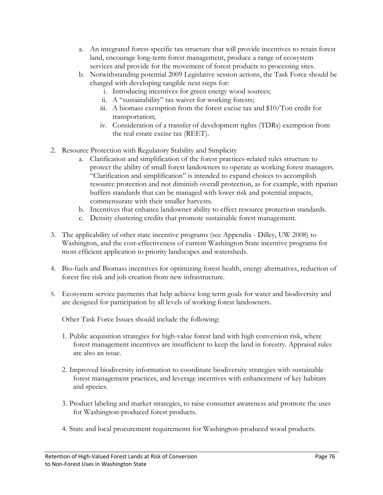- a. An integrated forest-specific tax structure that will provide incentives to retain forest land, encourage long-term forest management, produce a range of ecosystem services and provide for the movement of forest products to processing sites.
- b. Notwithstanding potential 2009 Legislative session actions, the Task Force should be charged with developing tangible next steps for:
	- i. Introducing incentives for green energy wood sources;
	- ii. A "sustainability" tax waiver for working forests;
	- iii. A biomass exemption from the forest excise tax and \$10/Ton credit for transportation;
	- iv. Consideration of a transfer of development rights (TDRs) exemption from the real estate excise tax (REET).
- 2. Resource Protection with Regulatory Stability and Simplicity
	- a. Clarification and simplification of the forest practices-related rules structure to protect the ability of small forest landowners to operate as working forest managers. "Clarification and simplification" is intended to expand choices to accomplish resource protection and not diminish overall protection, as for example, with riparian buffers standards that can be managed with lower risk and potential impacts, commensurate with their smaller harvests.
	- b. Incentives that enhance landowner ability to effect resource protection standards.
	- c. Density clustering credits that promote sustainable forest management.
- 3. The applicability of other state incentive programs (see Appendix Dilley, UW 2008) to Washington, and the cost-effectiveness of current Washington State incentive programs for most efficient application to priority landscapes and watersheds.
- 4. Bio-fuels and Biomass incentives for optimizing forest health, energy alternatives, reduction of forest fire risk and job creation from new infrastructure.
- 5. Ecosystem service payments that help achieve long term goals for water and biodiversity and are designed for participation by all levels of working forest landowners.

Other Task Force Issues should include the following:

- 1. Public acquisition strategies for high-value forest land with high conversion risk, where forest management incentives are insufficient to keep the land in forestry. Appraisal rules are also an issue.
- 2. Improved biodiversity information to coordinate biodiversity strategies with sustainable forest management practices, and leverage incentives with enhancement of key habitats and species.
- 3. Product labeling and market strategies, to raise consumer awareness and promote the uses for Washington-produced forest products.
- 4. State and local procurement requirements for Washington-produced wood products.